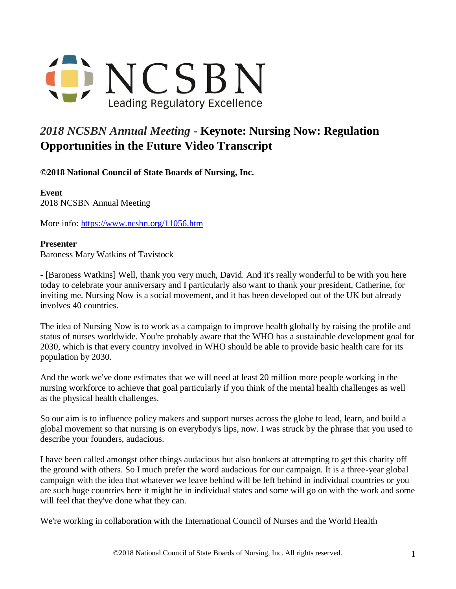

## *2018 NCSBN Annual Meeting* **- Keynote: Nursing Now: Regulation Opportunities in the Future Video Transcript**

**©2018 National Council of State Boards of Nursing, Inc.** 

**Event** 2018 NCSBN Annual Meeting

More info: <https://www.ncsbn.org/11056.htm>

## **Presenter**

Baroness Mary Watkins of Tavistock

- [Baroness Watkins] Well, thank you very much, David. And it's really wonderful to be with you here today to celebrate your anniversary and I particularly also want to thank your president, Catherine, for inviting me. Nursing Now is a social movement, and it has been developed out of the UK but already involves 40 countries.

The idea of Nursing Now is to work as a campaign to improve health globally by raising the profile and status of nurses worldwide. You're probably aware that the WHO has a sustainable development goal for 2030, which is that every country involved in WHO should be able to provide basic health care for its population by 2030.

And the work we've done estimates that we will need at least 20 million more people working in the nursing workforce to achieve that goal particularly if you think of the mental health challenges as well as the physical health challenges.

So our aim is to influence policy makers and support nurses across the globe to lead, learn, and build a global movement so that nursing is on everybody's lips, now. I was struck by the phrase that you used to describe your founders, audacious.

I have been called amongst other things audacious but also bonkers at attempting to get this charity off the ground with others. So I much prefer the word audacious for our campaign. It is a three-year global campaign with the idea that whatever we leave behind will be left behind in individual countries or you are such huge countries here it might be in individual states and some will go on with the work and some will feel that they've done what they can.

We're working in collaboration with the International Council of Nurses and the World Health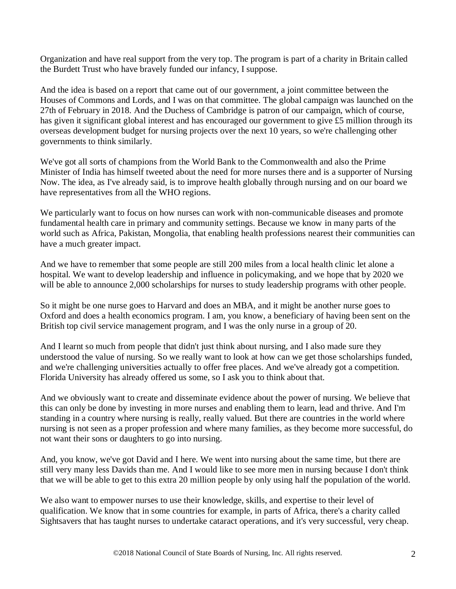Organization and have real support from the very top. The program is part of a charity in Britain called the Burdett Trust who have bravely funded our infancy, I suppose.

And the idea is based on a report that came out of our government, a joint committee between the Houses of Commons and Lords, and I was on that committee. The global campaign was launched on the 27th of February in 2018. And the Duchess of Cambridge is patron of our campaign, which of course, has given it significant global interest and has encouraged our government to give £5 million through its overseas development budget for nursing projects over the next 10 years, so we're challenging other governments to think similarly.

We've got all sorts of champions from the World Bank to the Commonwealth and also the Prime Minister of India has himself tweeted about the need for more nurses there and is a supporter of Nursing Now. The idea, as I've already said, is to improve health globally through nursing and on our board we have representatives from all the WHO regions.

We particularly want to focus on how nurses can work with non-communicable diseases and promote fundamental health care in primary and community settings. Because we know in many parts of the world such as Africa, Pakistan, Mongolia, that enabling health professions nearest their communities can have a much greater impact.

And we have to remember that some people are still 200 miles from a local health clinic let alone a hospital. We want to develop leadership and influence in policymaking, and we hope that by 2020 we will be able to announce 2,000 scholarships for nurses to study leadership programs with other people.

So it might be one nurse goes to Harvard and does an MBA, and it might be another nurse goes to Oxford and does a health economics program. I am, you know, a beneficiary of having been sent on the British top civil service management program, and I was the only nurse in a group of 20.

And I learnt so much from people that didn't just think about nursing, and I also made sure they understood the value of nursing. So we really want to look at how can we get those scholarships funded, and we're challenging universities actually to offer free places. And we've already got a competition. Florida University has already offered us some, so I ask you to think about that.

And we obviously want to create and disseminate evidence about the power of nursing. We believe that this can only be done by investing in more nurses and enabling them to learn, lead and thrive. And I'm standing in a country where nursing is really, really valued. But there are countries in the world where nursing is not seen as a proper profession and where many families, as they become more successful, do not want their sons or daughters to go into nursing.

And, you know, we've got David and I here. We went into nursing about the same time, but there are still very many less Davids than me. And I would like to see more men in nursing because I don't think that we will be able to get to this extra 20 million people by only using half the population of the world.

We also want to empower nurses to use their knowledge, skills, and expertise to their level of qualification. We know that in some countries for example, in parts of Africa, there's a charity called Sightsavers that has taught nurses to undertake cataract operations, and it's very successful, very cheap.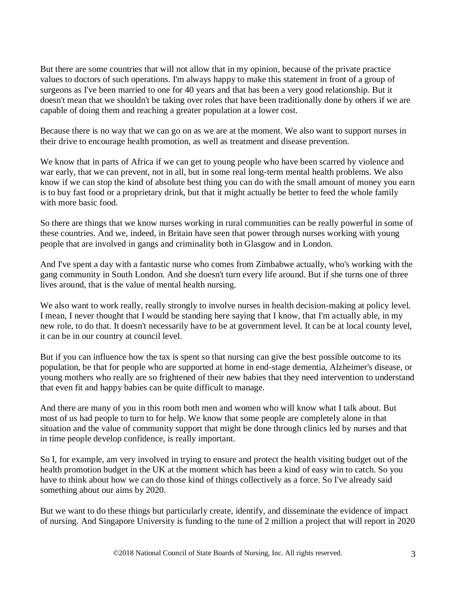But there are some countries that will not allow that in my opinion, because of the private practice values to doctors of such operations. I'm always happy to make this statement in front of a group of surgeons as I've been married to one for 40 years and that has been a very good relationship. But it doesn't mean that we shouldn't be taking over roles that have been traditionally done by others if we are capable of doing them and reaching a greater population at a lower cost.

Because there is no way that we can go on as we are at the moment. We also want to support nurses in their drive to encourage health promotion, as well as treatment and disease prevention.

We know that in parts of Africa if we can get to young people who have been scarred by violence and war early, that we can prevent, not in all, but in some real long-term mental health problems. We also know if we can stop the kind of absolute best thing you can do with the small amount of money you earn is to buy fast food or a proprietary drink, but that it might actually be better to feed the whole family with more basic food.

So there are things that we know nurses working in rural communities can be really powerful in some of these countries. And we, indeed, in Britain have seen that power through nurses working with young people that are involved in gangs and criminality both in Glasgow and in London.

And I've spent a day with a fantastic nurse who comes from Zimbabwe actually, who's working with the gang community in South London. And she doesn't turn every life around. But if she turns one of three lives around, that is the value of mental health nursing.

We also want to work really, really strongly to involve nurses in health decision-making at policy level. I mean, I never thought that I would be standing here saying that I know, that I'm actually able, in my new role, to do that. It doesn't necessarily have to be at government level. It can be at local county level, it can be in our country at council level.

But if you can influence how the tax is spent so that nursing can give the best possible outcome to its population, be that for people who are supported at home in end-stage dementia, Alzheimer's disease, or young mothers who really are so frightened of their new babies that they need intervention to understand that even fit and happy babies can be quite difficult to manage.

And there are many of you in this room both men and women who will know what I talk about. But most of us had people to turn to for help. We know that some people are completely alone in that situation and the value of community support that might be done through clinics led by nurses and that in time people develop confidence, is really important.

So I, for example, am very involved in trying to ensure and protect the health visiting budget out of the health promotion budget in the UK at the moment which has been a kind of easy win to catch. So you have to think about how we can do those kind of things collectively as a force. So I've already said something about our aims by 2020.

But we want to do these things but particularly create, identify, and disseminate the evidence of impact of nursing. And Singapore University is funding to the tune of 2 million a project that will report in 2020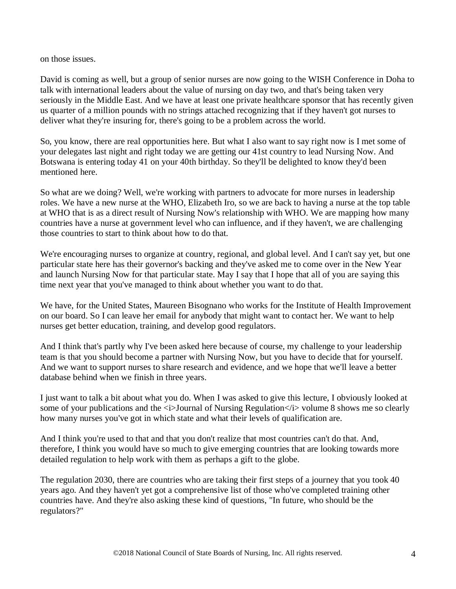on those issues.

David is coming as well, but a group of senior nurses are now going to the WISH Conference in Doha to talk with international leaders about the value of nursing on day two, and that's being taken very seriously in the Middle East. And we have at least one private healthcare sponsor that has recently given us quarter of a million pounds with no strings attached recognizing that if they haven't got nurses to deliver what they're insuring for, there's going to be a problem across the world.

So, you know, there are real opportunities here. But what I also want to say right now is I met some of your delegates last night and right today we are getting our 41st country to lead Nursing Now. And Botswana is entering today 41 on your 40th birthday. So they'll be delighted to know they'd been mentioned here.

So what are we doing? Well, we're working with partners to advocate for more nurses in leadership roles. We have a new nurse at the WHO, Elizabeth Iro, so we are back to having a nurse at the top table at WHO that is as a direct result of Nursing Now's relationship with WHO. We are mapping how many countries have a nurse at government level who can influence, and if they haven't, we are challenging those countries to start to think about how to do that.

We're encouraging nurses to organize at country, regional, and global level. And I can't say yet, but one particular state here has their governor's backing and they've asked me to come over in the New Year and launch Nursing Now for that particular state. May I say that I hope that all of you are saying this time next year that you've managed to think about whether you want to do that.

We have, for the United States, Maureen Bisognano who works for the Institute of Health Improvement on our board. So I can leave her email for anybody that might want to contact her. We want to help nurses get better education, training, and develop good regulators.

And I think that's partly why I've been asked here because of course, my challenge to your leadership team is that you should become a partner with Nursing Now, but you have to decide that for yourself. And we want to support nurses to share research and evidence, and we hope that we'll leave a better database behind when we finish in three years.

I just want to talk a bit about what you do. When I was asked to give this lecture, I obviously looked at some of your publications and the  $\langle \rangle$ -Journal of Nursing Regulation $\langle \rangle$ - $\rangle$  volume 8 shows me so clearly how many nurses you've got in which state and what their levels of qualification are.

And I think you're used to that and that you don't realize that most countries can't do that. And, therefore, I think you would have so much to give emerging countries that are looking towards more detailed regulation to help work with them as perhaps a gift to the globe.

The regulation 2030, there are countries who are taking their first steps of a journey that you took 40 years ago. And they haven't yet got a comprehensive list of those who've completed training other countries have. And they're also asking these kind of questions, "In future, who should be the regulators?"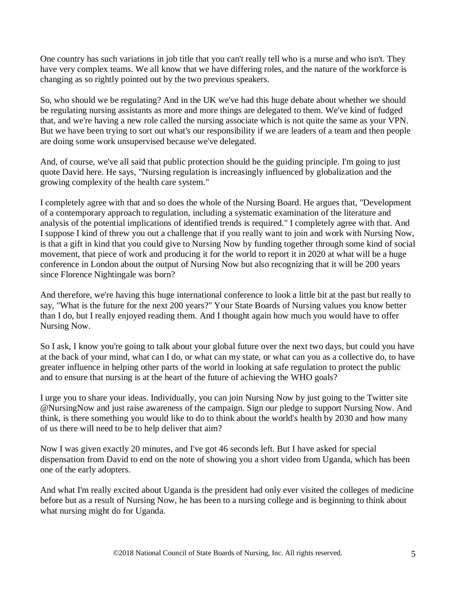One country has such variations in job title that you can't really tell who is a nurse and who isn't. They have very complex teams. We all know that we have differing roles, and the nature of the workforce is changing as so rightly pointed out by the two previous speakers.

So, who should we be regulating? And in the UK we've had this huge debate about whether we should be regulating nursing assistants as more and more things are delegated to them. We've kind of fudged that, and we're having a new role called the nursing associate which is not quite the same as your VPN. But we have been trying to sort out what's our responsibility if we are leaders of a team and then people are doing some work unsupervised because we've delegated.

And, of course, we've all said that public protection should be the guiding principle. I'm going to just quote David here. He says, "Nursing regulation is increasingly influenced by globalization and the growing complexity of the health care system."

I completely agree with that and so does the whole of the Nursing Board. He argues that, "Development of a contemporary approach to regulation, including a systematic examination of the literature and analysis of the potential implications of identified trends is required." I completely agree with that. And I suppose I kind of threw you out a challenge that if you really want to join and work with Nursing Now, is that a gift in kind that you could give to Nursing Now by funding together through some kind of social movement, that piece of work and producing it for the world to report it in 2020 at what will be a huge conference in London about the output of Nursing Now but also recognizing that it will be 200 years since Florence Nightingale was born?

And therefore, we're having this huge international conference to look a little bit at the past but really to say, "What is the future for the next 200 years?" Your State Boards of Nursing values you know better than I do, but I really enjoyed reading them. And I thought again how much you would have to offer Nursing Now.

So I ask, I know you're going to talk about your global future over the next two days, but could you have at the back of your mind, what can I do, or what can my state, or what can you as a collective do, to have greater influence in helping other parts of the world in looking at safe regulation to protect the public and to ensure that nursing is at the heart of the future of achieving the WHO goals?

I urge you to share your ideas. Individually, you can join Nursing Now by just going to the Twitter site @NursingNow and just raise awareness of the campaign. Sign our pledge to support Nursing Now. And think, is there something you would like to do to think about the world's health by 2030 and how many of us there will need to be to help deliver that aim?

Now I was given exactly 20 minutes, and I've got 46 seconds left. But I have asked for special dispensation from David to end on the note of showing you a short video from Uganda, which has been one of the early adopters.

And what I'm really excited about Uganda is the president had only ever visited the colleges of medicine before but as a result of Nursing Now, he has been to a nursing college and is beginning to think about what nursing might do for Uganda.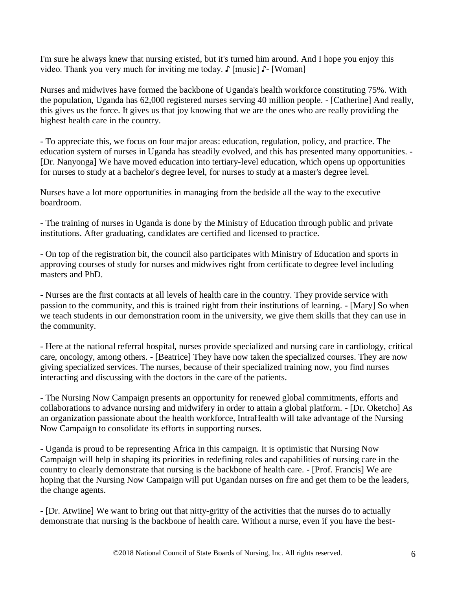I'm sure he always knew that nursing existed, but it's turned him around. And I hope you enjoy this video. Thank you very much for inviting me today. ♪ [music] ♪- [Woman]

Nurses and midwives have formed the backbone of Uganda's health workforce constituting 75%. With the population, Uganda has 62,000 registered nurses serving 40 million people. - [Catherine] And really, this gives us the force. It gives us that joy knowing that we are the ones who are really providing the highest health care in the country.

- To appreciate this, we focus on four major areas: education, regulation, policy, and practice. The education system of nurses in Uganda has steadily evolved, and this has presented many opportunities. - [Dr. Nanyonga] We have moved education into tertiary-level education, which opens up opportunities for nurses to study at a bachelor's degree level, for nurses to study at a master's degree level.

Nurses have a lot more opportunities in managing from the bedside all the way to the executive boardroom.

- The training of nurses in Uganda is done by the Ministry of Education through public and private institutions. After graduating, candidates are certified and licensed to practice.

- On top of the registration bit, the council also participates with Ministry of Education and sports in approving courses of study for nurses and midwives right from certificate to degree level including masters and PhD.

- Nurses are the first contacts at all levels of health care in the country. They provide service with passion to the community, and this is trained right from their institutions of learning. - [Mary] So when we teach students in our demonstration room in the university, we give them skills that they can use in the community.

- Here at the national referral hospital, nurses provide specialized and nursing care in cardiology, critical care, oncology, among others. - [Beatrice] They have now taken the specialized courses. They are now giving specialized services. The nurses, because of their specialized training now, you find nurses interacting and discussing with the doctors in the care of the patients.

- The Nursing Now Campaign presents an opportunity for renewed global commitments, efforts and collaborations to advance nursing and midwifery in order to attain a global platform. - [Dr. Oketcho] As an organization passionate about the health workforce, IntraHealth will take advantage of the Nursing Now Campaign to consolidate its efforts in supporting nurses.

- Uganda is proud to be representing Africa in this campaign. It is optimistic that Nursing Now Campaign will help in shaping its priorities in redefining roles and capabilities of nursing care in the country to clearly demonstrate that nursing is the backbone of health care. - [Prof. Francis] We are hoping that the Nursing Now Campaign will put Ugandan nurses on fire and get them to be the leaders, the change agents.

- [Dr. Atwiine] We want to bring out that nitty-gritty of the activities that the nurses do to actually demonstrate that nursing is the backbone of health care. Without a nurse, even if you have the best